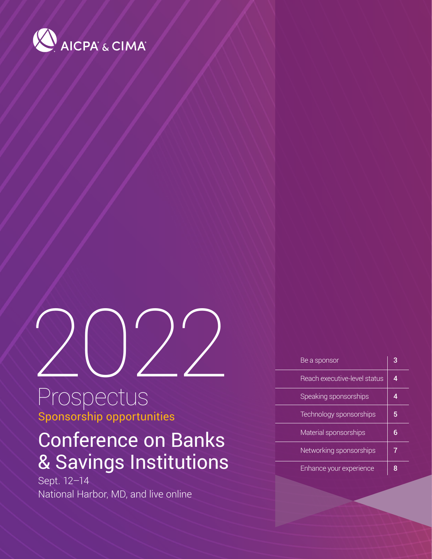

# 2022

## Prospectus Sponsorship opportunities

## Conference on Banks & Savings Institutions

Sept. 12–14 National Harbor, MD, and live online

| Be a sponsor                 | 3 |
|------------------------------|---|
| Reach executive-level status | Δ |
| Speaking sponsorships        |   |
| Technology sponsorships      | 5 |
| Material sponsorships        |   |
| Networking sponsorships      |   |
| Enhance your experience      |   |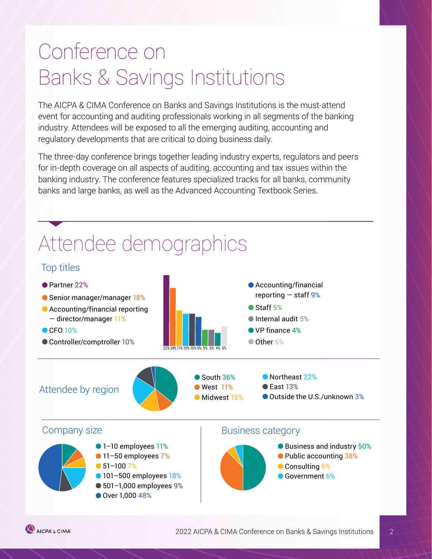## Conference on Banks & Savings Institutions

The AICPA & CIMA Conference on Banks and Savings Institutions is the must-attend event for accounting and auditing professionals working in all segments of the banking industry. Attendees will be exposed to all the emerging auditing, accounting and regulatory developments that are critical to doing business daily.

The three-day conference brings together leading industry experts, regulators and peers for in-depth coverage on all aspects of auditing, accounting and tax issues within the banking industry. The conference features specialized tracks for all banks, community banks and large banks, as well as the Advanced Accounting Textbook Series.



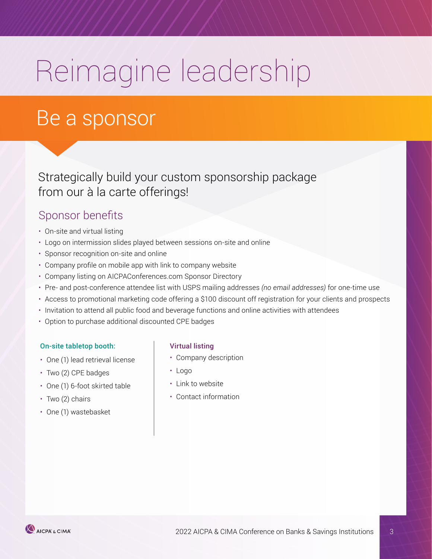# <span id="page-2-0"></span>Reimagine leadership

## Be a sponsor

Strategically build your custom sponsorship package from our à la carte offerings!

### Sponsor benefits

- On-site and virtual listing
- Logo on intermission slides played between sessions on-site and online
- Sponsor recognition on-site and online
- Company profile on mobile app with link to company website
- Company listing on AICPAConferences.com Sponsor Directory
- Pre- and post-conference attendee list with USPS mailing addresses *(no email addresses)* for one-time use
- Access to promotional marketing code offering a \$100 discount off registration for your clients and prospects
- Invitation to attend all public food and beverage functions and online activities with attendees
- Option to purchase additional discounted CPE badges

#### On-site tabletop booth: Virtual listing

- One (1) lead retrieval license
- Two (2) CPE badges
- One (1) 6-foot skirted table
- Two (2) chairs
- One (1) wastebasket

- Company description
- Logo
- Link to website
- Contact information

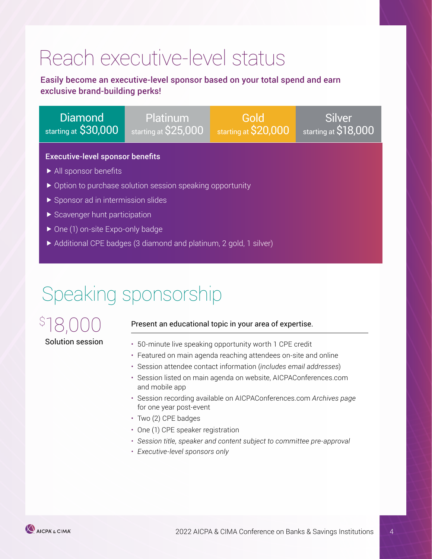# <span id="page-3-0"></span>Reach executive-level status

Easily become an executive-level sponsor based on your total spend and earn exclusive brand-building perks!

Diamond starting at \$30,000

Platinum starting at \$25,000

Gold starting at \$20,000

Silver starting at \$18,000

#### Executive-level sponsor benefits

- All sponsor benefits
- ▶ Option to purchase solution session speaking opportunity
- Sponsor ad in intermission slides
- Scavenger hunt participation
- ▶ One (1) on-site Expo-only badge
- ▶ Additional CPE badges (3 diamond and platinum, 2 gold, 1 silver)

## Speaking sponsorship

## \$ 18,000 Solution session

#### Present an educational topic in your area of expertise.

- 50-minute live speaking opportunity worth 1 CPE credit
- Featured on main agenda reaching attendees on-site and online
- Session attendee contact information (*includes email addresses*)
- Session listed on main agenda on website, AICPAConferences.com and mobile app
- Session recording available on AICPAConferences.com *Archives page*  for one year post-event
- Two (2) CPE badges
- One (1) CPE speaker registration
- *• Session title, speaker and content subject to committee pre-approval*
- *• Executive-level sponsors only*

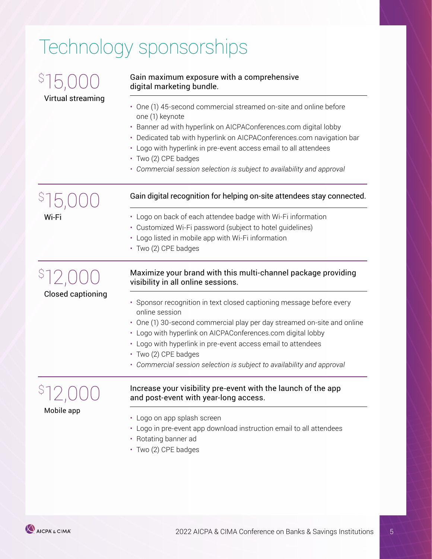# <span id="page-4-0"></span>Technology sponsorships

| Virtual streaming        | Gain maximum exposure with a comprehensive<br>digital marketing bundle.                                                                                                                                                                                                                                                                                                                                 |  |  |
|--------------------------|---------------------------------------------------------------------------------------------------------------------------------------------------------------------------------------------------------------------------------------------------------------------------------------------------------------------------------------------------------------------------------------------------------|--|--|
|                          | • One (1) 45-second commercial streamed on-site and online before<br>one (1) keynote<br>• Banner ad with hyperlink on AICPAConferences.com digital lobby<br>• Dedicated tab with hyperlink on AICPAConferences.com navigation bar<br>• Logo with hyperlink in pre-event access email to all attendees<br>· Two (2) CPE badges<br>• Commercial session selection is subject to availability and approval |  |  |
|                          | Gain digital recognition for helping on-site attendees stay connected.                                                                                                                                                                                                                                                                                                                                  |  |  |
| Wi-Fi                    | • Logo on back of each attendee badge with Wi-Fi information<br>• Customized Wi-Fi password (subject to hotel guidelines)<br>• Logo listed in mobile app with Wi-Fi information<br>· Two (2) CPE badges                                                                                                                                                                                                 |  |  |
| <b>Closed captioning</b> | Maximize your brand with this multi-channel package providing<br>visibility in all online sessions.                                                                                                                                                                                                                                                                                                     |  |  |
|                          | • Sponsor recognition in text closed captioning message before every<br>online session<br>• One (1) 30-second commercial play per day streamed on-site and online<br>• Logo with hyperlink on AICPAConferences.com digital lobby<br>• Logo with hyperlink in pre-event access email to attendees<br>· Two (2) CPE badges<br>• Commercial session selection is subject to availability and approval      |  |  |
| Mobile app               | Increase your visibility pre-event with the launch of the app<br>and post-event with year-long access.<br>• Logo on app splash screen                                                                                                                                                                                                                                                                   |  |  |
|                          | • Logo in pre-event app download instruction email to all attendees<br>• Rotating banner ad<br>· Two (2) CPE badges                                                                                                                                                                                                                                                                                     |  |  |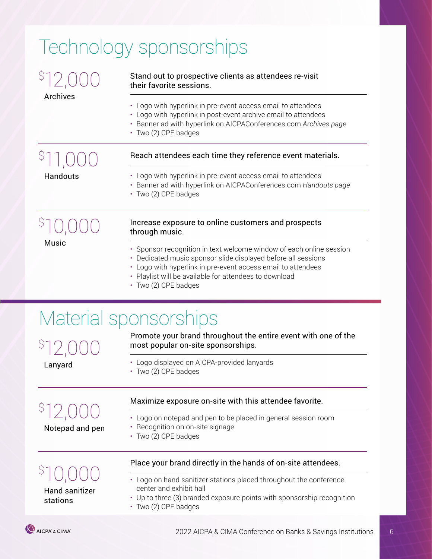# Technology sponsorships

|                 | Stand out to prospective clients as attendees re-visit<br>their favorite sessions.                                                                                                                                                                                                     |
|-----------------|----------------------------------------------------------------------------------------------------------------------------------------------------------------------------------------------------------------------------------------------------------------------------------------|
| Archives        | • Logo with hyperlink in pre-event access email to attendees<br>• Logo with hyperlink in post-event archive email to attendees<br>• Banner ad with hyperlink on AICPAConferences.com Archives page<br>· Two (2) CPE badges                                                             |
|                 | Reach attendees each time they reference event materials.                                                                                                                                                                                                                              |
| Handouts        | • Logo with hyperlink in pre-event access email to attendees<br>• Banner ad with hyperlink on AICPAConferences.com Handouts page<br>· Two (2) CPE badges                                                                                                                               |
|                 | Increase exposure to online customers and prospects<br>through music.                                                                                                                                                                                                                  |
| Music           | • Sponsor recognition in text welcome window of each online session<br>• Dedicated music sponsor slide displayed before all sessions<br>• Logo with hyperlink in pre-event access email to attendees<br>• Playlist will be available for attendees to download<br>· Two (2) CPE badges |
|                 | Material sponsorships                                                                                                                                                                                                                                                                  |
| Lanyard         | Promote your brand throughout the entire event with one of the<br>most popular on-site sponsorships.                                                                                                                                                                                   |
|                 | • Logo displayed on AICPA-provided lanyards<br>• Two (2) CPE badges                                                                                                                                                                                                                    |
| Notepad and pen | Maximize exposure on-site with this attendee favorite.                                                                                                                                                                                                                                 |
|                 | Logo on notepad and pen to be placed in general session room<br>Recognition on on-site signage<br>· Two (2) CPE badges                                                                                                                                                                 |
|                 | Place your brand directly in the hands of on-site attendees.                                                                                                                                                                                                                           |
|                 | • Logo on hand sanitizer stations placed throughout the conference                                                                                                                                                                                                                     |

- Hand sanitizer
- Logo on hand sanitizer stations placed throughout the conference center and exhibit hall

stations

- Up to three (3) branded exposure points with sponsorship recognition
- Two (2) CPE badges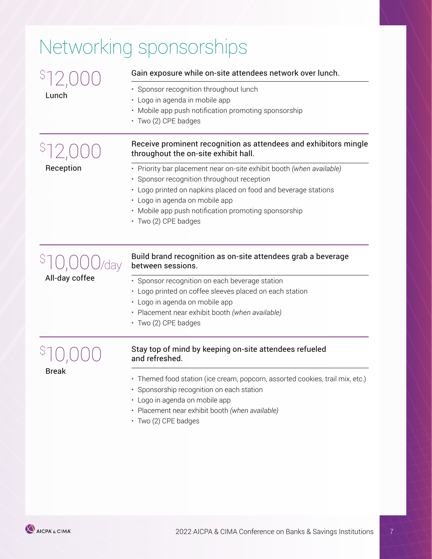# <span id="page-6-0"></span>Networking sponsorships

| Lunch          | Gain exposure while on-site attendees network over lunch.                                                                                                                                                                                                                                              |  |
|----------------|--------------------------------------------------------------------------------------------------------------------------------------------------------------------------------------------------------------------------------------------------------------------------------------------------------|--|
|                | · Sponsor recognition throughout lunch<br>• Logo in agenda in mobile app<br>• Mobile app push notification promoting sponsorship<br>· Two (2) CPE badges                                                                                                                                               |  |
|                | Receive prominent recognition as attendees and exhibitors mingle<br>throughout the on-site exhibit hall.                                                                                                                                                                                               |  |
| Reception      | · Priority bar placement near on-site exhibit booth (when available)<br>• Sponsor recognition throughout reception<br>• Logo printed on napkins placed on food and beverage stations<br>· Logo in agenda on mobile app<br>• Mobile app push notification promoting sponsorship<br>· Two (2) CPE badges |  |
| All-day coffee | Build brand recognition as on-site attendees grab a beverage<br>between sessions.                                                                                                                                                                                                                      |  |
|                | · Sponsor recognition on each beverage station<br>• Logo printed on coffee sleeves placed on each station<br>• Logo in agenda on mobile app<br>• Placement near exhibit booth (when available)<br>· Two (2) CPE badges                                                                                 |  |
| <b>Break</b>   | Stay top of mind by keeping on-site attendees refueled<br>and refreshed.                                                                                                                                                                                                                               |  |
|                | Themed food station (ice cream, popcorn, assorted cookies, trail mix, etc.)<br>• Sponsorship recognition on each station<br>• Logo in agenda on mobile app<br>· Placement near exhibit booth (when available)<br>· Two (2) CPE badges                                                                  |  |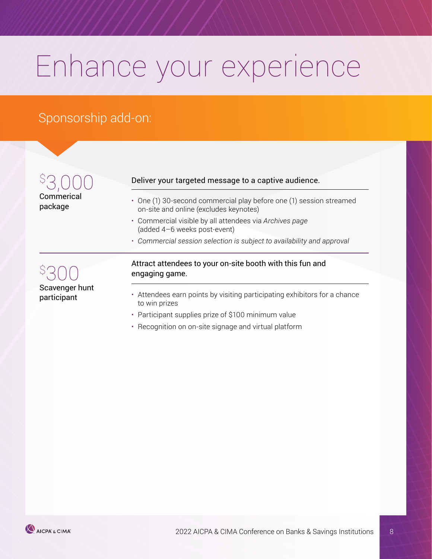# Enhance your experience

## Sponsorship add-on:

 $\varsigma$ 3,000 Commerical package

300 Scavenger hunt participant

 $\varsigma$ 

#### Deliver your targeted message to a captive audience.

- One (1) 30-second commercial play before one (1) session streamed on-site and online (excludes keynotes)
- Commercial visible by all attendees via *Archives page*  (added 4–6 weeks post-event)
- *• Commercial session selection is subject to availability and approval*

#### Attract attendees to your on-site booth with this fun and engaging game.

- Attendees earn points by visiting participating exhibitors for a chance to win prizes
- Participant supplies prize of \$100 minimum value
- Recognition on on-site signage and virtual platform